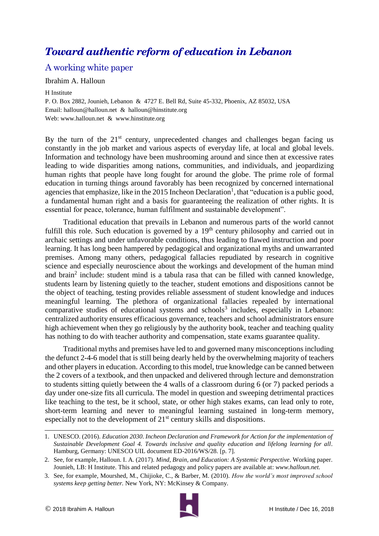# *Toward authentic reform of education in Lebanon*

# A working white paper

#### Ibrahim A. Halloun

H Institute

P. O. Box 2882, Jounieh, Lebanon & 4727 E. Bell Rd, Suite 45-332, Phoenix, AZ 85032, USA Email: [halloun@halloun.net](mailto:halloun@halloun.net) & [halloun@hinstitute.org](mailto:halloun@hinstitute.org) Web: [www.halloun.net](http://www.halloun.net/) & [www.hinstitute.org](http://www.hinstitute.org/)

By the turn of the  $21<sup>st</sup>$  century, unprecedented changes and challenges began facing us constantly in the job market and various aspects of everyday life, at local and global levels. Information and technology have been mushrooming around and since then at excessive rates leading to wide disparities among nations, communities, and individuals, and jeopardizing human rights that people have long fought for around the globe. The prime role of formal education in turning things around favorably has been recognized by concerned international agencies that emphasize, like in the 2015 Incheon Declaration<sup>1</sup>, that "education is a public good, a fundamental human right and a basis for guaranteeing the realization of other rights. It is essential for peace, tolerance, human fulfilment and sustainable development".

Traditional education that prevails in Lebanon and numerous parts of the world cannot fulfill this role. Such education is governed by a  $19<sup>th</sup>$  century philosophy and carried out in archaic settings and under unfavorable conditions, thus leading to flawed instruction and poor learning. It has long been hampered by pedagogical and organizational myths and unwarranted premises. Among many others, pedagogical fallacies repudiated by research in cognitive science and especially neuroscience about the workings and development of the human mind and brain<sup>2</sup> include: student mind is a tabula rasa that can be filled with canned knowledge, students learn by listening quietly to the teacher, student emotions and dispositions cannot be the object of teaching, testing provides reliable assessment of student knowledge and induces meaningful learning. The plethora of organizational fallacies repealed by international comparative studies of educational systems and schools<sup>3</sup> includes, especially in Lebanon: centralized authority ensures efficacious governance, teachers and school administrators ensure high achievement when they go religiously by the authority book, teacher and teaching quality has nothing to do with teacher authority and compensation, state exams guarantee quality.

Traditional myths and premises have led to and governed many misconceptions including the defunct 2-4-6 model that is still being dearly held by the overwhelming majority of teachers and other players in education. According to this model, true knowledge can be canned between the 2 covers of a textbook, and then unpacked and delivered through lecture and demonstration to students sitting quietly between the 4 walls of a classroom during 6 (or 7) packed periods a day under one-size fits all curricula. The model in question and sweeping detrimental practices like teaching to the test, be it school, state, or other high stakes exams, can lead only to rote, short-term learning and never to meaningful learning sustained in long-term memory, especially not to the development of 21st century skills and dispositions.



<sup>1.</sup> UNESCO. (2016). *Education 2030*. *Incheon Declaration and Framework for Action for the implementation of Sustainable Development Goal 4. Towards inclusive and quality education and lifelong learning for all*. Hamburg, Germany: UNESCO UIL document ED-2016/WS/28. [p. 7].

<sup>2.</sup> See, for example, Halloun. I. A. (2017). *Mind, Brain, and Education: A Systemic Perspective*. Working paper. Jounieh, LB: H Institute. This and related pedagogy and policy papers are available at: *[www.halloun.net.](http://www.halloun.net/)*

<sup>3.</sup> See, for example, Mourshed, M., Chijioke, C., & Barber, M. (2010). *How the world's most improved school systems keep getting better.* New York, NY: McKinsey & Company.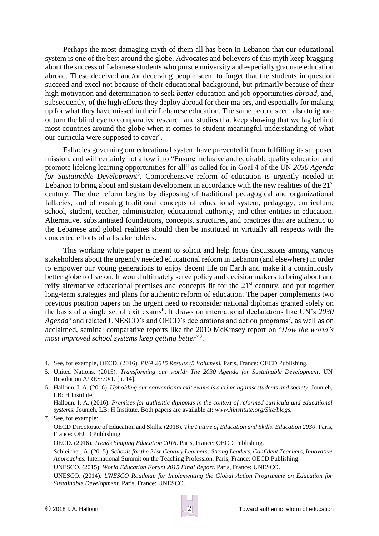Perhaps the most damaging myth of them all has been in Lebanon that our educational system is one of the best around the globe. Advocates and believers of this myth keep bragging about the success of Lebanese students who pursue university and especially graduate education abroad. These deceived and/or deceiving people seem to forget that the students in question succeed and excel not because of their educational background, but primarily because of their high motivation and determination to seek *better* education and job opportunities *abroad*, and, subsequently, of the high efforts they deploy abroad for their majors, and especially for making up for what they have missed in their Lebanese education. The same people seem also to ignore or turn the blind eye to comparative research and studies that keep showing that we lag behind most countries around the globe when it comes to student meaningful understanding of what our curricula were supposed to cover<sup>4</sup>.

Fallacies governing our educational system have prevented it from fulfilling its supposed mission, and will certainly not allow it to "Ensure inclusive and equitable quality education and promote lifelong learning opportunities for all" as called for in Goal 4 of the UN *2030 Agenda*  for Sustainable Development<sup>5</sup>. Comprehensive reform of education is urgently needed in Lebanon to bring about and sustain development in accordance with the new realities of the  $21<sup>st</sup>$ century. The due reform begins by disposing of traditional pedagogical and organizational fallacies, and of ensuing traditional concepts of educational system, pedagogy, curriculum, school, student, teacher, administrator, educational authority, and other entities in education. Alternative, substantiated foundations, concepts, structures, and practices that are authentic to the Lebanese and global realities should then be instituted in virtually all respects with the concerted efforts of all stakeholders.

This working white paper is meant to solicit and help focus discussions among various stakeholders about the urgently needed educational reform in Lebanon (and elsewhere) in order to empower our young generations to enjoy decent life on Earth and make it a continuously better globe to live on. It would ultimately serve policy and decision makers to bring about and reify alternative educational premises and concepts fit for the 21<sup>st</sup> century, and put together long-term strategies and plans for authentic reform of education. The paper complements two previous position papers on the urgent need to reconsider national diplomas granted solely on the basis of a single set of exit exams<sup>6</sup>. It draws on international declarations like UN's 2030 Agenda<sup>5</sup> and related UNESCO's and OECD's declarations and action programs<sup>7</sup>, as well as on acclaimed, seminal comparative reports like the 2010 McKinsey report on "*How the world's most improved school systems keep getting better*" 3 .

*systems*. Jounieh, LB: H Institute. Both papers are available at: *[www.hinstitute.org/Site/blogs.](http://www.hinstitute.org/Site/blogs)* 7. See, for example:

OECD Directorate of Education and Skills. (2018). *The Future of Education and Skills. Education 2030*. Paris, France: OECD Publishing.

OECD. (2016). *Trends Shaping Education 2016*. Paris, France: OECD Publishing.

Schleicher, A. (2015). *Schools for the 21st-Century Learners: Strong Leaders, Confident Teachers, Innovative Approaches.* International Summit on the Teaching Profession. Paris, France: OECD Publishing.

UNESCO. (2015). *World Education Forum 2015 Final Report*. Paris, France: UNESCO.

UNESCO. (2014). *UNESCO Roadmap for Implementing the Global Action Programme on Education for Sustainable Development*. Paris, France: UNESCO.

<sup>4.</sup> See, for example, OECD. (2016). *PISA 2015 Results (5 Volumes).* Paris, France: OECD Publishing.

<sup>5.</sup> United Nations. (2015). *Transforming our world: The 2030 Agenda for Sustainable Development*. UN Resolution A/RES/70/1. [p. 14].

<sup>6.</sup> Halloun. I. A. (2016). *Upholding our conventional exit exams is a crime against students and society*. Jounieh, LB: H Institute. Halloun. I. A. (2016). *Premises for authentic diplomas in the context of reformed curricula and educational*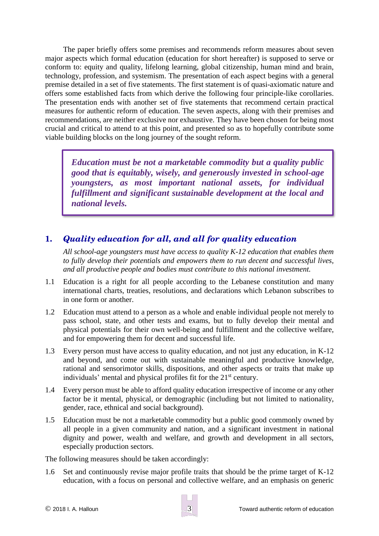The paper briefly offers some premises and recommends reform measures about seven major aspects which formal education (education for short hereafter) is supposed to serve or conform to: equity and quality, lifelong learning, global citizenship, human mind and brain, technology, profession, and systemism. The presentation of each aspect begins with a general premise detailed in a set of five statements. The first statement is of quasi-axiomatic nature and offers some established facts from which derive the following four principle-like corollaries. The presentation ends with another set of five statements that recommend certain practical measures for authentic reform of education. The seven aspects, along with their premises and recommendations, are neither exclusive nor exhaustive. They have been chosen for being most crucial and critical to attend to at this point, and presented so as to hopefully contribute some viable building blocks on the long journey of the sought reform.

*Education must be not a marketable commodity but a quality public good that is equitably, wisely, and generously invested in school-age youngsters, as most important national assets, for individual fulfillment and significant sustainable development at the local and national levels.*

# **1.** *Quality education for all, and all for quality education*

*All school-age youngsters must have access to quality K-12 education that enables them to fully develop their potentials and empowers them to run decent and successful lives, and all productive people and bodies must contribute to this national investment.*

- 1.1 Education is a right for all people according to the Lebanese constitution and many international charts, treaties, resolutions, and declarations which Lebanon subscribes to in one form or another.
- 1.2 Education must attend to a person as a whole and enable individual people not merely to pass school, state, and other tests and exams, but to fully develop their mental and physical potentials for their own well-being and fulfillment and the collective welfare, and for empowering them for decent and successful life.
- 1.3 Every person must have access to quality education, and not just any education, in K-12 and beyond, and come out with sustainable meaningful and productive knowledge, rational and sensorimotor skills, dispositions, and other aspects or traits that make up individuals' mental and physical profiles fit for the 21<sup>st</sup> century.
- 1.4 Every person must be able to afford quality education irrespective of income or any other factor be it mental, physical, or demographic (including but not limited to nationality, gender, race, ethnical and social background).
- 1.5 Education must be not a marketable commodity but a public good commonly owned by all people in a given community and nation, and a significant investment in national dignity and power, wealth and welfare, and growth and development in all sectors, especially production sectors.

The following measures should be taken accordingly:

1.6 Set and continuously revise major profile traits that should be the prime target of K-12 education, with a focus on personal and collective welfare, and an emphasis on generic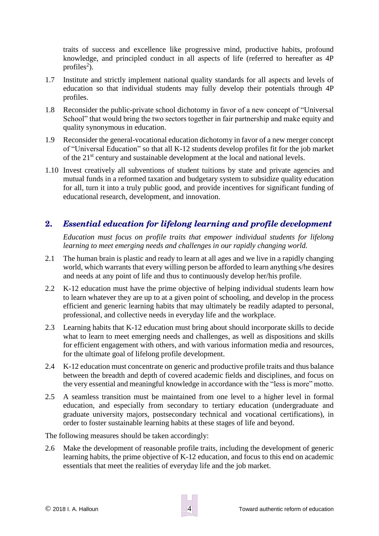traits of success and excellence like progressive mind, productive habits, profound knowledge, and principled conduct in all aspects of life (referred to hereafter as 4P profiles<sup>2</sup>).

- 1.7 Institute and strictly implement national quality standards for all aspects and levels of education so that individual students may fully develop their potentials through 4P profiles.
- 1.8 Reconsider the public-private school dichotomy in favor of a new concept of "Universal School" that would bring the two sectors together in fair partnership and make equity and quality synonymous in education.
- 1.9 Reconsider the general-vocational education dichotomy in favor of a new merger concept of "Universal Education" so that all K-12 students develop profiles fit for the job market of the 21st century and sustainable development at the local and national levels.
- 1.10 Invest creatively all subventions of student tuitions by state and private agencies and mutual funds in a reformed taxation and budgetary system to subsidize quality education for all, turn it into a truly public good, and provide incentives for significant funding of educational research, development, and innovation.

# **2.** *Essential education for lifelong learning and profile development*

*Education must focus on profile traits that empower individual students for lifelong learning to meet emerging needs and challenges in our rapidly changing world.*

- 2.1 The human brain is plastic and ready to learn at all ages and we live in a rapidly changing world, which warrants that every willing person be afforded to learn anything s/he desires and needs at any point of life and thus to continuously develop her/his profile.
- 2.2 K-12 education must have the prime objective of helping individual students learn how to learn whatever they are up to at a given point of schooling, and develop in the process efficient and generic learning habits that may ultimately be readily adapted to personal, professional, and collective needs in everyday life and the workplace.
- 2.3 Learning habits that K-12 education must bring about should incorporate skills to decide what to learn to meet emerging needs and challenges, as well as dispositions and skills for efficient engagement with others, and with various information media and resources, for the ultimate goal of lifelong profile development.
- 2.4 K-12 education must concentrate on generic and productive profile traits and thus balance between the breadth and depth of covered academic fields and disciplines, and focus on the very essential and meaningful knowledge in accordance with the "less is more" motto.
- 2.5 A seamless transition must be maintained from one level to a higher level in formal education, and especially from secondary to tertiary education (undergraduate and graduate university majors, postsecondary technical and vocational certifications), in order to foster sustainable learning habits at these stages of life and beyond.

The following measures should be taken accordingly:

2.6 Make the development of reasonable profile traits, including the development of generic learning habits, the prime objective of K-12 education, and focus to this end on academic essentials that meet the realities of everyday life and the job market.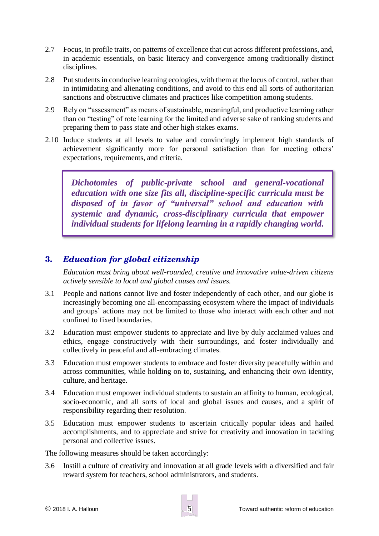- 2.7 Focus, in profile traits, on patterns of excellence that cut across different professions, and, in academic essentials, on basic literacy and convergence among traditionally distinct disciplines.
- 2.8 Put students in conducive learning ecologies, with them at the locus of control, rather than in intimidating and alienating conditions, and avoid to this end all sorts of authoritarian sanctions and obstructive climates and practices like competition among students.
- 2.9 Rely on "assessment" as means of sustainable, meaningful, and productive learning rather than on "testing" of rote learning for the limited and adverse sake of ranking students and preparing them to pass state and other high stakes exams.
- 2.10 Induce students at all levels to value and convincingly implement high standards of achievement significantly more for personal satisfaction than for meeting others' expectations, requirements, and criteria.

*Dichotomies of public-private school and general-vocational education with one size fits all, discipline-specific curricula must be disposed of in favor of "universal" school and education with systemic and dynamic, cross-disciplinary curricula that empower individual students for lifelong learning in a rapidly changing world.*

### **3.** *Education for global citizenship*

*Education must bring about well-rounded, creative and innovative value-driven citizens actively sensible to local and global causes and issues.*

- 3.1 People and nations cannot live and foster independently of each other, and our globe is increasingly becoming one all-encompassing ecosystem where the impact of individuals and groups' actions may not be limited to those who interact with each other and not confined to fixed boundaries.
- 3.2 Education must empower students to appreciate and live by duly acclaimed values and ethics, engage constructively with their surroundings, and foster individually and collectively in peaceful and all-embracing climates.
- 3.3 Education must empower students to embrace and foster diversity peacefully within and across communities, while holding on to, sustaining, and enhancing their own identity, culture, and heritage.
- 3.4 Education must empower individual students to sustain an affinity to human, ecological, socio-economic, and all sorts of local and global issues and causes, and a spirit of responsibility regarding their resolution.
- 3.5 Education must empower students to ascertain critically popular ideas and hailed accomplishments, and to appreciate and strive for creativity and innovation in tackling personal and collective issues.

The following measures should be taken accordingly:

3.6 Instill a culture of creativity and innovation at all grade levels with a diversified and fair reward system for teachers, school administrators, and students.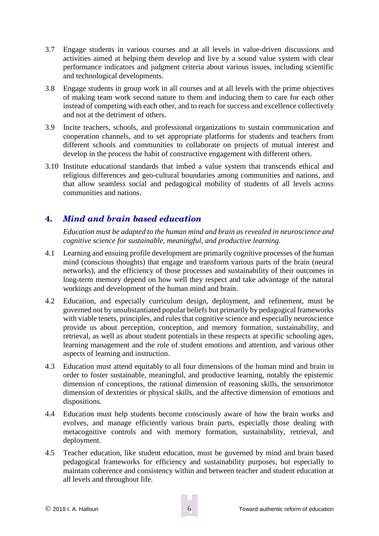- 3.7 Engage students in various courses and at all levels in value-driven discussions and activities aimed at helping them develop and live by a sound value system with clear performance indicators and judgment criteria about various issues, including scientific and technological developments.
- 3.8 Engage students in group work in all courses and at all levels with the prime objectives of making team work second nature to them and inducing them to care for each other instead of competing with each other, and to reach for success and excellence collectively and not at the detriment of others.
- 3.9 Incite teachers, schools, and professional organizations to sustain communication and cooperation channels, and to set appropriate platforms for students and teachers from different schools and communities to collaborate on projects of mutual interest and develop in the process the habit of constructive engagement with different others.
- 3.10 Institute educational standards that imbed a value system that transcends ethical and religious differences and geo-cultural boundaries among communities and nations, and that allow seamless social and pedagogical mobility of students of all levels across communities and nations.

# **4.** *Mind and brain based education*

*Education must be adapted to the human mind and brain as revealed in neuroscience and cognitive science for sustainable, meaningful, and productive learning.*

- 4.1 Learning and ensuing profile development are primarily cognitive processes of the human mind (conscious thoughts) that engage and transform various parts of the brain (neural networks), and the efficiency of those processes and sustainability of their outcomes in long-term memory depend on how well they respect and take advantage of the natural workings and development of the human mind and brain.
- 4.2 Education, and especially curriculum design, deployment, and refinement, must be governed not by unsubstantiated popular beliefs but primarily by pedagogical frameworks with viable tenets, principles, and rules that cognitive science and especially neuroscience provide us about perception, conception, and memory formation, sustainability, and retrieval, as well as about student potentials in these respects at specific schooling ages, learning management and the role of student emotions and attention, and various other aspects of learning and instruction.
- 4.3 Education must attend equitably to all four dimensions of the human mind and brain in order to foster sustainable, meaningful, and productive learning, notably the epistemic dimension of conceptions, the rational dimension of reasoning skills, the sensorimotor dimension of dexterities or physical skills, and the affective dimension of emotions and dispositions.
- 4.4 Education must help students become consciously aware of how the brain works and evolves, and manage efficiently various brain parts, especially those dealing with metacognitive controls and with memory formation, sustainability, retrieval, and deployment.
- 4.5 Teacher education, like student education, must be governed by mind and brain based pedagogical frameworks for efficiency and sustainability purposes, but especially to maintain coherence and consistency within and between teacher and student education at all levels and throughout life.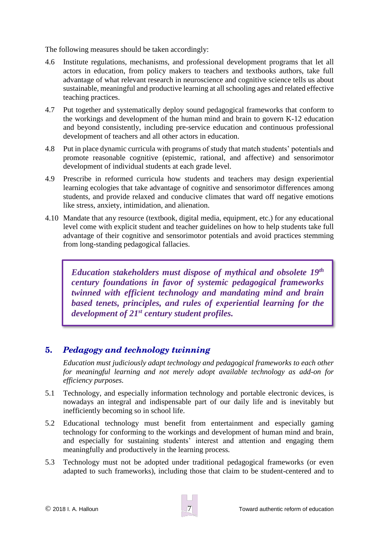The following measures should be taken accordingly:

- 4.6 Institute regulations, mechanisms, and professional development programs that let all actors in education, from policy makers to teachers and textbooks authors, take full advantage of what relevant research in neuroscience and cognitive science tells us about sustainable, meaningful and productive learning at all schooling ages and related effective teaching practices.
- 4.7 Put together and systematically deploy sound pedagogical frameworks that conform to the workings and development of the human mind and brain to govern K-12 education and beyond consistently, including pre-service education and continuous professional development of teachers and all other actors in education.
- 4.8 Put in place dynamic curricula with programs of study that match students' potentials and promote reasonable cognitive (epistemic, rational, and affective) and sensorimotor development of individual students at each grade level.
- 4.9 Prescribe in reformed curricula how students and teachers may design experiential learning ecologies that take advantage of cognitive and sensorimotor differences among students, and provide relaxed and conducive climates that ward off negative emotions like stress, anxiety, intimidation, and alienation.
- 4.10 Mandate that any resource (textbook, digital media, equipment, etc.) for any educational level come with explicit student and teacher guidelines on how to help students take full advantage of their cognitive and sensorimotor potentials and avoid practices stemming from long-standing pedagogical fallacies.

*Education stakeholders must dispose of mythical and obsolete 19th century foundations in favor of systemic pedagogical frameworks twinned with efficient technology and mandating mind and brain based tenets, principles, and rules of experiential learning for the development of 21st century student profiles.*

### **5.** *Pedagogy and technology twinning*

*Education must judiciously adapt technology and pedagogical frameworks to each other for meaningful learning and not merely adopt available technology as add-on for efficiency purposes.*

- 5.1 Technology, and especially information technology and portable electronic devices, is nowadays an integral and indispensable part of our daily life and is inevitably but inefficiently becoming so in school life.
- 5.2 Educational technology must benefit from entertainment and especially gaming technology for conforming to the workings and development of human mind and brain, and especially for sustaining students' interest and attention and engaging them meaningfully and productively in the learning process*.*
- 5.3 Technology must not be adopted under traditional pedagogical frameworks (or even adapted to such frameworks), including those that claim to be student-centered and to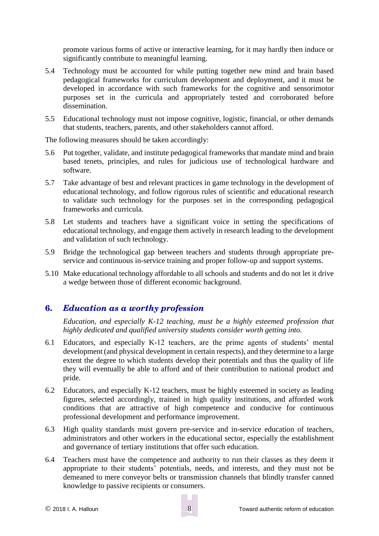promote various forms of active or interactive learning, for it may hardly then induce or significantly contribute to meaningful learning.

- 5.4 Technology must be accounted for while putting together new mind and brain based pedagogical frameworks for curriculum development and deployment, and it must be developed in accordance with such frameworks for the cognitive and sensorimotor purposes set in the curricula and appropriately tested and corroborated before dissemination.
- 5.5 Educational technology must not impose cognitive, logistic, financial, or other demands that students, teachers, parents, and other stakeholders cannot afford.

The following measures should be taken accordingly:

- 5.6 Put together, validate, and institute pedagogical frameworks that mandate mind and brain based tenets, principles, and rules for judicious use of technological hardware and software.
- 5.7 Take advantage of best and relevant practices in game technology in the development of educational technology, and follow rigorous rules of scientific and educational research to validate such technology for the purposes set in the corresponding pedagogical frameworks and curricula.
- 5.8 Let students and teachers have a significant voice in setting the specifications of educational technology, and engage them actively in research leading to the development and validation of such technology.
- 5.9 Bridge the technological gap between teachers and students through appropriate preservice and continuous in-service training and proper follow-up and support systems.
- 5.10 Make educational technology affordable to all schools and students and do not let it drive a wedge between those of different economic background.

### **6.** *Education as a worthy profession*

*Education, and especially K-12 teaching, must be a highly esteemed profession that highly dedicated and qualified university students consider worth getting into.* 

- 6.1 Educators, and especially K-12 teachers, are the prime agents of students' mental development (and physical development in certain respects), and they determine to a large extent the degree to which students develop their potentials and thus the quality of life they will eventually be able to afford and of their contribution to national product and pride.
- 6.2 Educators, and especially K-12 teachers, must be highly esteemed in society as leading figures, selected accordingly, trained in high quality institutions, and afforded work conditions that are attractive of high competence and conducive for continuous professional development and performance improvement.
- 6.3 High quality standards must govern pre-service and in-service education of teachers, administrators and other workers in the educational sector, especially the establishment and governance of tertiary institutions that offer such education.
- 6.4 Teachers must have the competence and authority to run their classes as they deem it appropriate to their students' potentials, needs, and interests, and they must not be demeaned to mere conveyor belts or transmission channels that blindly transfer canned knowledge to passive recipients or consumers.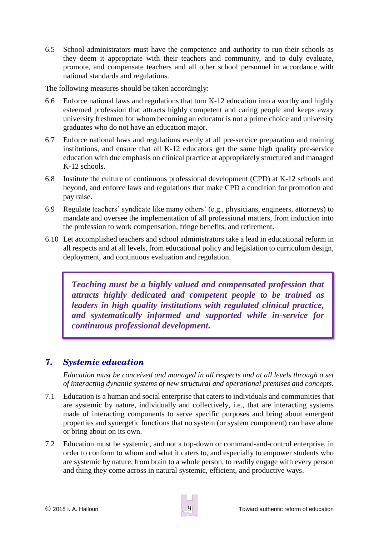6.5 School administrators must have the competence and authority to run their schools as they deem it appropriate with their teachers and community, and to duly evaluate, promote, and compensate teachers and all other school personnel in accordance with national standards and regulations.

The following measures should be taken accordingly:

- 6.6 Enforce national laws and regulations that turn K-12 education into a worthy and highly esteemed profession that attracts highly competent and caring people and keeps away university freshmen for whom becoming an educator is not a prime choice and university graduates who do not have an education major.
- 6.7 Enforce national laws and regulations evenly at all pre-service preparation and training institutions, and ensure that all K-12 educators get the same high quality pre-service education with due emphasis on clinical practice at appropriately structured and managed K-12 schools.
- 6.8 Institute the culture of continuous professional development (CPD) at K-12 schools and beyond, and enforce laws and regulations that make CPD a condition for promotion and pay raise.
- 6.9 Regulate teachers' syndicate like many others' (e.g., physicians, engineers, attorneys) to mandate and oversee the implementation of all professional matters, from induction into the profession to work compensation, fringe benefits, and retirement.
- 6.10 Let accomplished teachers and school administrators take a lead in educational reform in all respects and at all levels, from educational policy and legislation to curriculum design, deployment, and continuous evaluation and regulation.

*Teaching must be a highly valued and compensated profession that attracts highly dedicated and competent people to be trained as leaders in high quality institutions with regulated clinical practice, and systematically informed and supported while in-service for continuous professional development.*

### **7.** *Systemic education*

*Education must be conceived and managed in all respects and at all levels through a set of interacting dynamic systems of new structural and operational premises and concepts.*

- 7.1 Education is a human and social enterprise that caters to individuals and communities that are systemic by nature, individually and collectively, i.e., that are interacting systems made of interacting components to serve specific purposes and bring about emergent properties and synergetic functions that no system (or system component) can have alone or bring about on its own.
- 7.2 Education must be systemic, and not a top-down or command-and-control enterprise, in order to conform to whom and what it caters to, and especially to empower students who are systemic by nature, from brain to a whole person, to readily engage with every person and thing they come across in natural systemic, efficient, and productive ways.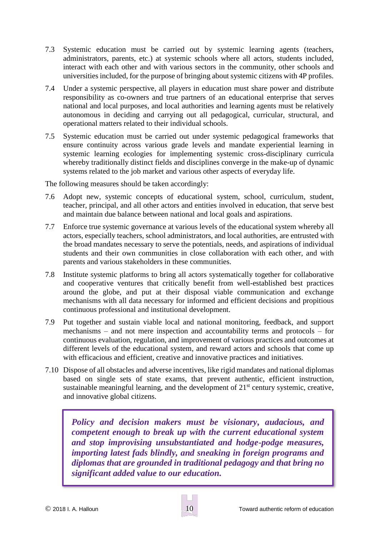- 7.3 Systemic education must be carried out by systemic learning agents (teachers, administrators, parents, etc.) at systemic schools where all actors, students included, interact with each other and with various sectors in the community, other schools and universities included, for the purpose of bringing about systemic citizens with 4P profiles.
- 7.4 Under a systemic perspective, all players in education must share power and distribute responsibility as co-owners and true partners of an educational enterprise that serves national and local purposes, and local authorities and learning agents must be relatively autonomous in deciding and carrying out all pedagogical, curricular, structural, and operational matters related to their individual schools.
- 7.5 Systemic education must be carried out under systemic pedagogical frameworks that ensure continuity across various grade levels and mandate experiential learning in systemic learning ecologies for implementing systemic cross-disciplinary curricula whereby traditionally distinct fields and disciplines converge in the make-up of dynamic systems related to the job market and various other aspects of everyday life.

The following measures should be taken accordingly:

- 7.6 Adopt new, systemic concepts of educational system, school, curriculum, student, teacher, principal, and all other actors and entities involved in education, that serve best and maintain due balance between national and local goals and aspirations.
- 7.7 Enforce true systemic governance at various levels of the educational system whereby all actors, especially teachers, school administrators, and local authorities, are entrusted with the broad mandates necessary to serve the potentials, needs, and aspirations of individual students and their own communities in close collaboration with each other, and with parents and various stakeholders in these communities.
- 7.8 Institute systemic platforms to bring all actors systematically together for collaborative and cooperative ventures that critically benefit from well-established best practices around the globe, and put at their disposal viable communication and exchange mechanisms with all data necessary for informed and efficient decisions and propitious continuous professional and institutional development.
- 7.9 Put together and sustain viable local and national monitoring, feedback, and support mechanisms – and not mere inspection and accountability terms and protocols – for continuous evaluation, regulation, and improvement of various practices and outcomes at different levels of the educational system, and reward actors and schools that come up with efficacious and efficient, creative and innovative practices and initiatives.
- 7.10 Dispose of all obstacles and adverse incentives, like rigid mandates and national diplomas based on single sets of state exams, that prevent authentic, efficient instruction, sustainable meaningful learning, and the development of  $21<sup>st</sup>$  century systemic, creative, and innovative global citizens.

*Policy and decision makers must be visionary, audacious, and competent enough to break up with the current educational system and stop improvising unsubstantiated and hodge-podge measures, importing latest fads blindly, and sneaking in foreign programs and diplomas that are grounded in traditional pedagogy and that bring no significant added value to our education.*